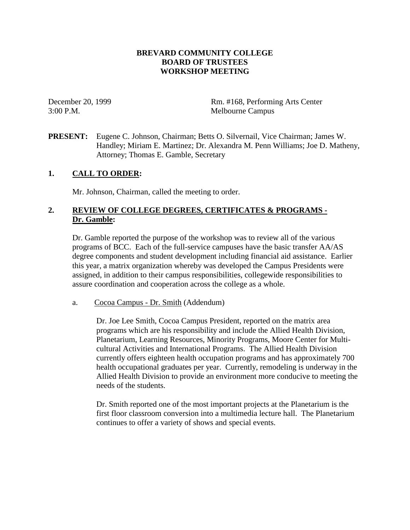### **BREVARD COMMUNITY COLLEGE BOARD OF TRUSTEES WORKSHOP MEETING**

December 20, 1999 Rm. #168, Performing Arts Center 3:00 P.M. Melbourne Campus

**PRESENT:** Eugene C. Johnson, Chairman; Betts O. Silvernail, Vice Chairman; James W. Handley; Miriam E. Martinez; Dr. Alexandra M. Penn Williams; Joe D. Matheny, Attorney; Thomas E. Gamble, Secretary

### **1. CALL TO ORDER:**

Mr. Johnson, Chairman, called the meeting to order.

# **2. REVIEW OF COLLEGE DEGREES, CERTIFICATES & PROGRAMS - Dr. Gamble:**

Dr. Gamble reported the purpose of the workshop was to review all of the various programs of BCC. Each of the full-service campuses have the basic transfer AA/AS degree components and student development including financial aid assistance. Earlier this year, a matrix organization whereby was developed the Campus Presidents were assigned, in addition to their campus responsibilities, collegewide responsibilities to assure coordination and cooperation across the college as a whole.

### a. Cocoa Campus - Dr. Smith (Addendum)

 Dr. Joe Lee Smith, Cocoa Campus President, reported on the matrix area programs which are his responsibility and include the Allied Health Division, Planetarium, Learning Resources, Minority Programs, Moore Center for Multicultural Activities and International Programs. The Allied Health Division currently offers eighteen health occupation programs and has approximately 700 health occupational graduates per year. Currently, remodeling is underway in the Allied Health Division to provide an environment more conducive to meeting the needs of the students.

Dr. Smith reported one of the most important projects at the Planetarium is the first floor classroom conversion into a multimedia lecture hall. The Planetarium continues to offer a variety of shows and special events.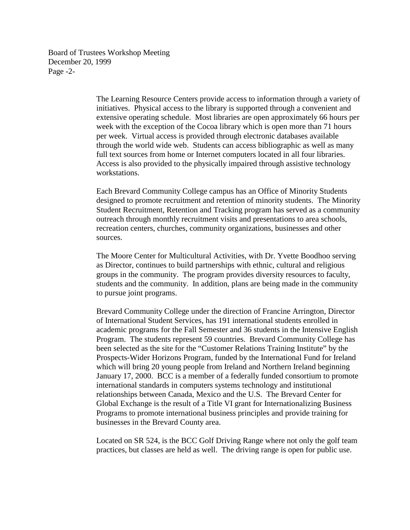Board of Trustees Workshop Meeting December 20, 1999 Page -2-

> The Learning Resource Centers provide access to information through a variety of initiatives. Physical access to the library is supported through a convenient and extensive operating schedule. Most libraries are open approximately 66 hours per week with the exception of the Cocoa library which is open more than 71 hours per week. Virtual access is provided through electronic databases available through the world wide web. Students can access bibliographic as well as many full text sources from home or Internet computers located in all four libraries. Access is also provided to the physically impaired through assistive technology workstations.

> Each Brevard Community College campus has an Office of Minority Students designed to promote recruitment and retention of minority students. The Minority Student Recruitment, Retention and Tracking program has served as a community outreach through monthly recruitment visits and presentations to area schools, recreation centers, churches, community organizations, businesses and other sources.

The Moore Center for Multicultural Activities, with Dr. Yvette Boodhoo serving as Director, continues to build partnerships with ethnic, cultural and religious groups in the community. The program provides diversity resources to faculty, students and the community. In addition, plans are being made in the community to pursue joint programs.

Brevard Community College under the direction of Francine Arrington, Director of International Student Services, has 191 international students enrolled in academic programs for the Fall Semester and 36 students in the Intensive English Program. The students represent 59 countries. Brevard Community College has been selected as the site for the "Customer Relations Training Institute" by the Prospects-Wider Horizons Program, funded by the International Fund for Ireland which will bring 20 young people from Ireland and Northern Ireland beginning January 17, 2000. BCC is a member of a federally funded consortium to promote international standards in computers systems technology and institutional relationships between Canada, Mexico and the U.S. The Brevard Center for Global Exchange is the result of a Title VI grant for Internationalizing Business Programs to promote international business principles and provide training for businesses in the Brevard County area.

Located on SR 524, is the BCC Golf Driving Range where not only the golf team practices, but classes are held as well. The driving range is open for public use.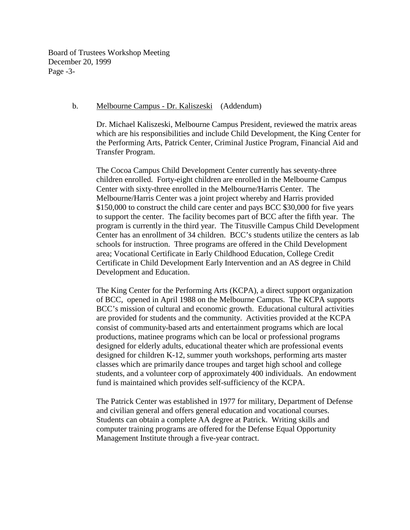Board of Trustees Workshop Meeting December 20, 1999 Page -3-

#### b. Melbourne Campus - Dr. Kaliszeski (Addendum)

 Dr. Michael Kaliszeski, Melbourne Campus President, reviewed the matrix areas which are his responsibilities and include Child Development, the King Center for the Performing Arts, Patrick Center, Criminal Justice Program, Financial Aid and Transfer Program.

The Cocoa Campus Child Development Center currently has seventy-three children enrolled. Forty-eight children are enrolled in the Melbourne Campus Center with sixty-three enrolled in the Melbourne/Harris Center. The Melbourne/Harris Center was a joint project whereby and Harris provided \$150,000 to construct the child care center and pays BCC \$30,000 for five years to support the center. The facility becomes part of BCC after the fifth year. The program is currently in the third year. The Titusville Campus Child Development Center has an enrollment of 34 children. BCC's students utilize the centers as lab schools for instruction. Three programs are offered in the Child Development area; Vocational Certificate in Early Childhood Education, College Credit Certificate in Child Development Early Intervention and an AS degree in Child Development and Education.

The King Center for the Performing Arts (KCPA), a direct support organization of BCC, opened in April 1988 on the Melbourne Campus. The KCPA supports BCC's mission of cultural and economic growth. Educational cultural activities are provided for students and the community. Activities provided at the KCPA consist of community-based arts and entertainment programs which are local productions, matinee programs which can be local or professional programs designed for elderly adults, educational theater which are professional events designed for children K-12, summer youth workshops, performing arts master classes which are primarily dance troupes and target high school and college students, and a volunteer corp of approximately 400 individuals. An endowment fund is maintained which provides self-sufficiency of the KCPA.

The Patrick Center was established in 1977 for military, Department of Defense and civilian general and offers general education and vocational courses. Students can obtain a complete AA degree at Patrick. Writing skills and computer training programs are offered for the Defense Equal Opportunity Management Institute through a five-year contract.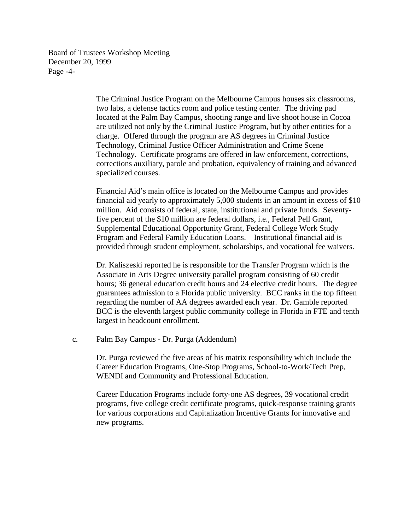Board of Trustees Workshop Meeting December 20, 1999 Page -4-

> The Criminal Justice Program on the Melbourne Campus houses six classrooms, two labs, a defense tactics room and police testing center. The driving pad located at the Palm Bay Campus, shooting range and live shoot house in Cocoa are utilized not only by the Criminal Justice Program, but by other entities for a charge. Offered through the program are AS degrees in Criminal Justice Technology, Criminal Justice Officer Administration and Crime Scene Technology. Certificate programs are offered in law enforcement, corrections, corrections auxiliary, parole and probation, equivalency of training and advanced specialized courses.

Financial Aid's main office is located on the Melbourne Campus and provides financial aid yearly to approximately 5,000 students in an amount in excess of \$10 million. Aid consists of federal, state, institutional and private funds. Seventyfive percent of the \$10 million are federal dollars, i.e., Federal Pell Grant, Supplemental Educational Opportunity Grant, Federal College Work Study Program and Federal Family Education Loans. Institutional financial aid is provided through student employment, scholarships, and vocational fee waivers.

Dr. Kaliszeski reported he is responsible for the Transfer Program which is the Associate in Arts Degree university parallel program consisting of 60 credit hours; 36 general education credit hours and 24 elective credit hours. The degree guarantees admission to a Florida public university. BCC ranks in the top fifteen regarding the number of AA degrees awarded each year. Dr. Gamble reported BCC is the eleventh largest public community college in Florida in FTE and tenth largest in headcount enrollment.

#### c. Palm Bay Campus - Dr. Purga (Addendum)

 Dr. Purga reviewed the five areas of his matrix responsibility which include the Career Education Programs, One-Stop Programs, School-to-Work/Tech Prep, WENDI and Community and Professional Education.

Career Education Programs include forty-one AS degrees, 39 vocational credit programs, five college credit certificate programs, quick-response training grants for various corporations and Capitalization Incentive Grants for innovative and new programs.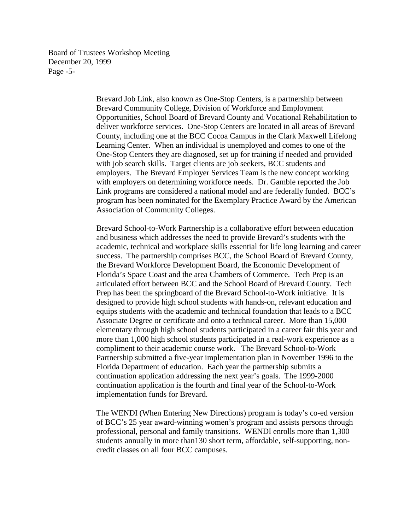Board of Trustees Workshop Meeting December 20, 1999 Page -5-

> Brevard Job Link, also known as One-Stop Centers, is a partnership between Brevard Community College, Division of Workforce and Employment Opportunities, School Board of Brevard County and Vocational Rehabilitation to deliver workforce services. One-Stop Centers are located in all areas of Brevard County, including one at the BCC Cocoa Campus in the Clark Maxwell Lifelong Learning Center. When an individual is unemployed and comes to one of the One-Stop Centers they are diagnosed, set up for training if needed and provided with job search skills. Target clients are job seekers, BCC students and employers. The Brevard Employer Services Team is the new concept working with employers on determining workforce needs. Dr. Gamble reported the Job Link programs are considered a national model and are federally funded. BCC's program has been nominated for the Exemplary Practice Award by the American Association of Community Colleges.

Brevard School-to-Work Partnership is a collaborative effort between education and business which addresses the need to provide Brevard's students with the academic, technical and workplace skills essential for life long learning and career success. The partnership comprises BCC, the School Board of Brevard County, the Brevard Workforce Development Board, the Economic Development of Florida's Space Coast and the area Chambers of Commerce. Tech Prep is an articulated effort between BCC and the School Board of Brevard County. Tech Prep has been the springboard of the Brevard School-to-Work initiative. It is designed to provide high school students with hands-on, relevant education and equips students with the academic and technical foundation that leads to a BCC Associate Degree or certificate and onto a technical career. More than 15,000 elementary through high school students participated in a career fair this year and more than 1,000 high school students participated in a real-work experience as a compliment to their academic course work. The Brevard School-to-Work Partnership submitted a five-year implementation plan in November 1996 to the Florida Department of education. Each year the partnership submits a continuation application addressing the next year's goals. The 1999-2000 continuation application is the fourth and final year of the School-to-Work implementation funds for Brevard.

The WENDI (When Entering New Directions) program is today's co-ed version of BCC's 25 year award-winning women's program and assists persons through professional, personal and family transitions. WENDI enrolls more than 1,300 students annually in more than130 short term, affordable, self-supporting, noncredit classes on all four BCC campuses.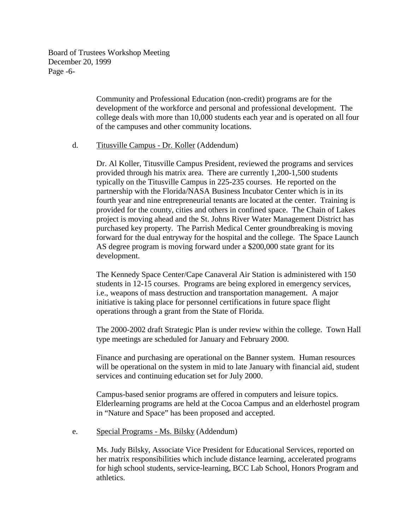Board of Trustees Workshop Meeting December 20, 1999 Page -6-

> Community and Professional Education (non-credit) programs are for the development of the workforce and personal and professional development. The college deals with more than 10,000 students each year and is operated on all four of the campuses and other community locations.

#### d. Titusville Campus - Dr. Koller (Addendum)

Dr. Al Koller, Titusville Campus President, reviewed the programs and services provided through his matrix area. There are currently 1,200-1,500 students typically on the Titusville Campus in 225-235 courses. He reported on the partnership with the Florida/NASA Business Incubator Center which is in its fourth year and nine entrepreneurial tenants are located at the center. Training is provided for the county, cities and others in confined space. The Chain of Lakes project is moving ahead and the St. Johns River Water Management District has purchased key property. The Parrish Medical Center groundbreaking is moving forward for the dual entryway for the hospital and the college. The Space Launch AS degree program is moving forward under a \$200,000 state grant for its development.

The Kennedy Space Center/Cape Canaveral Air Station is administered with 150 students in 12-15 courses. Programs are being explored in emergency services, i.e., weapons of mass destruction and transportation management. A major initiative is taking place for personnel certifications in future space flight operations through a grant from the State of Florida.

The 2000-2002 draft Strategic Plan is under review within the college. Town Hall type meetings are scheduled for January and February 2000.

Finance and purchasing are operational on the Banner system. Human resources will be operational on the system in mid to late January with financial aid, student services and continuing education set for July 2000.

Campus-based senior programs are offered in computers and leisure topics. Elderlearning programs are held at the Cocoa Campus and an elderhostel program in "Nature and Space" has been proposed and accepted.

### e. Special Programs - Ms. Bilsky (Addendum)

Ms. Judy Bilsky, Associate Vice President for Educational Services, reported on her matrix responsibilities which include distance learning, accelerated programs for high school students, service-learning, BCC Lab School, Honors Program and athletics.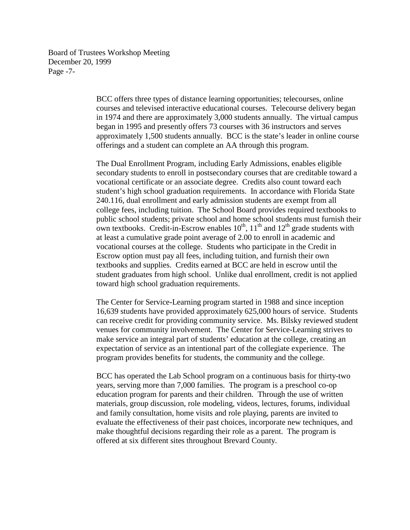Board of Trustees Workshop Meeting December 20, 1999 Page -7-

> BCC offers three types of distance learning opportunities; telecourses, online courses and televised interactive educational courses. Telecourse delivery began in 1974 and there are approximately 3,000 students annually. The virtual campus began in 1995 and presently offers 73 courses with 36 instructors and serves approximately 1,500 students annually. BCC is the state's leader in online course offerings and a student can complete an AA through this program.

> The Dual Enrollment Program, including Early Admissions, enables eligible secondary students to enroll in postsecondary courses that are creditable toward a vocational certificate or an associate degree. Credits also count toward each student's high school graduation requirements. In accordance with Florida State 240.116, dual enrollment and early admission students are exempt from all college fees, including tuition. The School Board provides required textbooks to public school students; private school and home school students must furnish their own textbooks. Credit-in-Escrow enables  $10^{th}$ ,  $11^{th}$  and  $12^{th}$  grade students with at least a cumulative grade point average of 2.00 to enroll in academic and vocational courses at the college. Students who participate in the Credit in Escrow option must pay all fees, including tuition, and furnish their own textbooks and supplies. Credits earned at BCC are held in escrow until the student graduates from high school. Unlike dual enrollment, credit is not applied toward high school graduation requirements.

The Center for Service-Learning program started in 1988 and since inception 16,639 students have provided approximately 625,000 hours of service. Students can receive credit for providing community service. Ms. Bilsky reviewed student venues for community involvement. The Center for Service-Learning strives to make service an integral part of students' education at the college, creating an expectation of service as an intentional part of the collegiate experience. The program provides benefits for students, the community and the college.

BCC has operated the Lab School program on a continuous basis for thirty-two years, serving more than 7,000 families. The program is a preschool co-op education program for parents and their children. Through the use of written materials, group discussion, role modeling, videos, lectures, forums, individual and family consultation, home visits and role playing, parents are invited to evaluate the effectiveness of their past choices, incorporate new techniques, and make thoughtful decisions regarding their role as a parent. The program is offered at six different sites throughout Brevard County.